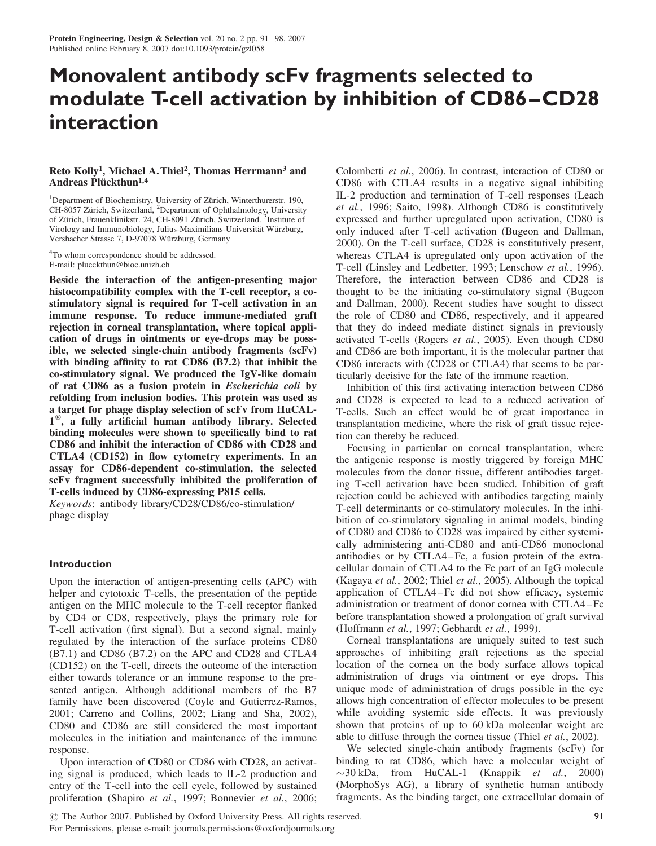# Monovalent antibody scFv fragments selected to modulate T-cell activation by inhibition of CD86–CD28 interaction

## Reto Kolly<sup>1</sup>, Michael A. Thiel<sup>2</sup>, Thomas Herrmann<sup>3</sup> and Andreas Plückthun<sup>1,4</sup>

<sup>1</sup>Department of Biochemistry, University of Zürich, Winterthurerstr. 190, CH-8057 Zürich, Switzerland, <sup>2</sup>Department of Ophthalmology, University of Zürich, Frauenklinikstr. 24, CH-8091 Zürich, Switzerland. <sup>3</sup>Institute of Virology and Immunobiology, Julius-Maximilians-Universität Würzburg, Versbacher Strasse 7, D-97078 Wu¨rzburg, Germany

<sup>4</sup>To whom correspondence should be addressed. E-mail: plueckthun@bioc.unizh.ch

Beside the interaction of the antigen-presenting major histocompatibility complex with the T-cell receptor, a costimulatory signal is required for T-cell activation in an immune response. To reduce immune-mediated graft rejection in corneal transplantation, where topical application of drugs in ointments or eye-drops may be possible, we selected single-chain antibody fragments (scFv) with binding affinity to rat CD86 (B7.2) that inhibit the co-stimulatory signal. We produced the IgV-like domain of rat CD86 as a fusion protein in Escherichia coli by refolding from inclusion bodies. This protein was used as a target for phage display selection of scFv from HuCAL- $1^{\circ\circ}$ , a fully artificial human antibody library. Selected binding molecules were shown to specifically bind to rat CD86 and inhibit the interaction of CD86 with CD28 and CTLA4 (CD152) in flow cytometry experiments. In an assay for CD86-dependent co-stimulation, the selected scFv fragment successfully inhibited the proliferation of T-cells induced by CD86-expressing P815 cells.

Keywords: antibody library/CD28/CD86/co-stimulation/ phage display

## Introduction

Upon the interaction of antigen-presenting cells (APC) with helper and cytotoxic T-cells, the presentation of the peptide antigen on the MHC molecule to the T-cell receptor flanked by CD4 or CD8, respectively, plays the primary role for T-cell activation (first signal). But a second signal, mainly regulated by the interaction of the surface proteins CD80 (B7.1) and CD86 (B7.2) on the APC and CD28 and CTLA4 (CD152) on the T-cell, directs the outcome of the interaction either towards tolerance or an immune response to the presented antigen. Although additional members of the B7 family have been discovered (Coyle and Gutierrez-Ramos, 2001; Carreno and Collins, 2002; Liang and Sha, 2002), CD80 and CD86 are still considered the most important molecules in the initiation and maintenance of the immune response.

Upon interaction of CD80 or CD86 with CD28, an activating signal is produced, which leads to IL-2 production and entry of the T-cell into the cell cycle, followed by sustained proliferation (Shapiro et al., 1997; Bonnevier et al., 2006; Colombetti et al., 2006). In contrast, interaction of CD80 or CD86 with CTLA4 results in a negative signal inhibiting IL-2 production and termination of T-cell responses (Leach et al., 1996; Saito, 1998). Although CD86 is constitutively expressed and further upregulated upon activation, CD80 is only induced after T-cell activation (Bugeon and Dallman, 2000). On the T-cell surface, CD28 is constitutively present, whereas CTLA4 is upregulated only upon activation of the T-cell (Linsley and Ledbetter, 1993; Lenschow et al., 1996). Therefore, the interaction between CD86 and CD28 is thought to be the initiating co-stimulatory signal (Bugeon and Dallman, 2000). Recent studies have sought to dissect the role of CD80 and CD86, respectively, and it appeared that they do indeed mediate distinct signals in previously activated T-cells (Rogers et al., 2005). Even though CD80 and CD86 are both important, it is the molecular partner that CD86 interacts with (CD28 or CTLA4) that seems to be particularly decisive for the fate of the immune reaction.

Inhibition of this first activating interaction between CD86 and CD28 is expected to lead to a reduced activation of T-cells. Such an effect would be of great importance in transplantation medicine, where the risk of graft tissue rejection can thereby be reduced.

Focusing in particular on corneal transplantation, where the antigenic response is mostly triggered by foreign MHC molecules from the donor tissue, different antibodies targeting T-cell activation have been studied. Inhibition of graft rejection could be achieved with antibodies targeting mainly T-cell determinants or co-stimulatory molecules. In the inhibition of co-stimulatory signaling in animal models, binding of CD80 and CD86 to CD28 was impaired by either systemically administering anti-CD80 and anti-CD86 monoclonal antibodies or by CTLA4–Fc, a fusion protein of the extracellular domain of CTLA4 to the Fc part of an IgG molecule (Kagaya et al., 2002; Thiel et al., 2005). Although the topical application of CTLA4–Fc did not show efficacy, systemic administration or treatment of donor cornea with CTLA4–Fc before transplantation showed a prolongation of graft survival (Hoffmann et al., 1997; Gebhardt et al., 1999).

Corneal transplantations are uniquely suited to test such approaches of inhibiting graft rejections as the special location of the cornea on the body surface allows topical administration of drugs via ointment or eye drops. This unique mode of administration of drugs possible in the eye allows high concentration of effector molecules to be present while avoiding systemic side effects. It was previously shown that proteins of up to 60 kDa molecular weight are able to diffuse through the cornea tissue (Thiel et al., 2002).

We selected single-chain antibody fragments (scFv) for binding to rat CD86, which have a molecular weight of  $\sim$ 30 kDa, from HuCAL-1 (Knappik et al., 2000) (MorphoSys AG), a library of synthetic human antibody fragments. As the binding target, one extracellular domain of

© The Author 2007. Published by Oxford University Press. All rights reserved. For Permissions, please e-mail: journals.permissions@oxfordjournals.org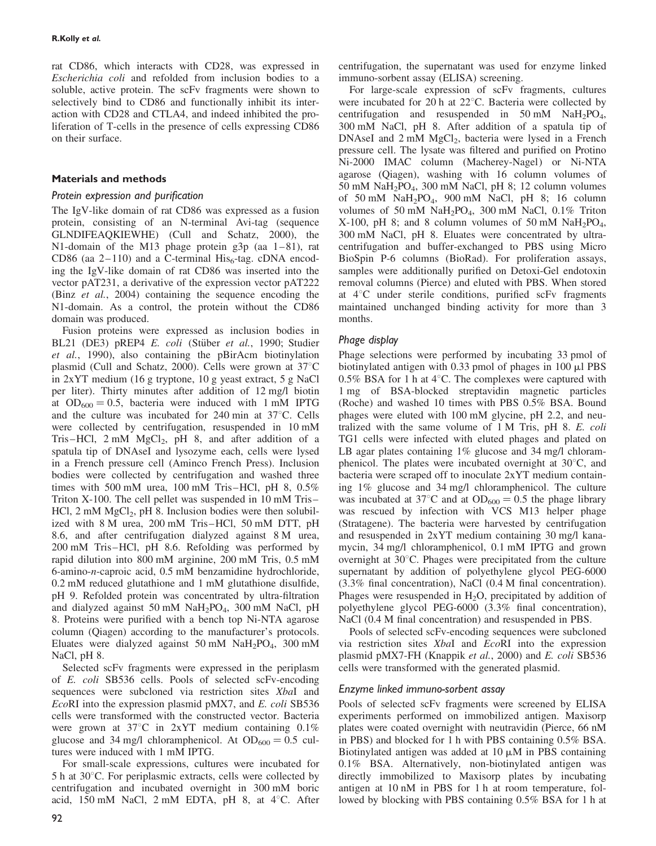rat CD86, which interacts with CD28, was expressed in Escherichia coli and refolded from inclusion bodies to a soluble, active protein. The scFv fragments were shown to selectively bind to CD86 and functionally inhibit its interaction with CD28 and CTLA4, and indeed inhibited the proliferation of T-cells in the presence of cells expressing CD86 on their surface.

# Materials and methods

## Protein expression and purification

The IgV-like domain of rat CD86 was expressed as a fusion protein, consisting of an N-terminal Avi-tag (sequence GLNDIFEAQKIEWHE) (Cull and Schatz, 2000), the N1-domain of the M13 phage protein g3p (aa 1–81), rat CD86 (aa 2–110) and a C-terminal  $His<sub>6</sub>$ -tag. cDNA encoding the IgV-like domain of rat CD86 was inserted into the vector pAT231, a derivative of the expression vector pAT222 (Binz et al., 2004) containing the sequence encoding the N1-domain. As a control, the protein without the CD86 domain was produced.

Fusion proteins were expressed as inclusion bodies in BL21 (DE3) pREP4 E. coli (Stüber et al., 1990; Studier et al., 1990), also containing the pBirAcm biotinylation plasmid (Cull and Schatz, 2000). Cells were grown at  $37^{\circ}$ C in 2xYT medium (16 g tryptone, 10 g yeast extract, 5 g NaCl per liter). Thirty minutes after addition of 12 mg/l biotin at  $OD_{600} = 0.5$ , bacteria were induced with 1 mM IPTG and the culture was incubated for  $240 \text{ min}$  at  $37^{\circ}$ C. Cells were collected by centrifugation, resuspended in 10 mM Tris–HCl,  $2 \text{ mM } MgCl_2$ , pH 8, and after addition of a spatula tip of DNAseI and lysozyme each, cells were lysed in a French pressure cell (Aminco French Press). Inclusion bodies were collected by centrifugation and washed three times with 500 mM urea, 100 mM Tris–HCl, pH 8, 0.5% Triton X-100. The cell pellet was suspended in 10 mM Tris– HCl,  $2 \text{ mM } MgCl<sub>2</sub>$ ,  $pH$  8. Inclusion bodies were then solubilized with 8 M urea, 200 mM Tris–HCl, 50 mM DTT, pH 8.6, and after centrifugation dialyzed against 8 M urea, 200 mM Tris–HCl, pH 8.6. Refolding was performed by rapid dilution into 800 mM arginine, 200 mM Tris, 0.5 mM 6-amino-n-caproic acid, 0.5 mM benzamidine hydrochloride, 0.2 mM reduced glutathione and 1 mM glutathione disulfide, pH 9. Refolded protein was concentrated by ultra-filtration and dialyzed against 50 mM NaH<sub>2</sub>PO<sub>4</sub>, 300 mM NaCl, pH 8. Proteins were purified with a bench top Ni-NTA agarose column (Qiagen) according to the manufacturer's protocols. Eluates were dialyzed against 50 mM  $NaH<sub>2</sub>PO<sub>4</sub>$ , 300 mM NaCl, pH 8.

Selected scFv fragments were expressed in the periplasm of E. coli SB536 cells. Pools of selected scFv-encoding sequences were subcloned via restriction sites XbaI and EcoRI into the expression plasmid pMX7, and E. coli SB536 cells were transformed with the constructed vector. Bacteria were grown at  $37^{\circ}$ C in  $2xYT$  medium containing 0.1% glucose and 34 mg/l chloramphenicol. At  $OD_{600} = 0.5$  cultures were induced with 1 mM IPTG.

For small-scale expressions, cultures were incubated for  $5 h$  at  $30^{\circ}$ C. For periplasmic extracts, cells were collected by centrifugation and incubated overnight in 300 mM boric acid, 150 mM NaCl,  $2 \text{ mM}$  EDTA, pH 8, at 4 $\textdegree$ C. After

centrifugation, the supernatant was used for enzyme linked immuno-sorbent assay (ELISA) screening.

For large-scale expression of scFv fragments, cultures were incubated for 20 h at  $22^{\circ}$ C. Bacteria were collected by centrifugation and resuspended in  $50 \text{ mM }$  NaH<sub>2</sub>PO<sub>4</sub>, 300 mM NaCl, pH 8. After addition of a spatula tip of DNAseI and  $2 \text{ mM } MgCl<sub>2</sub>$ , bacteria were lysed in a French pressure cell. The lysate was filtered and purified on Protino Ni-2000 IMAC column (Macherey-Nagel) or Ni-NTA agarose (Qiagen), washing with 16 column volumes of 50 mM NaH<sub>2</sub>PO<sub>4</sub>, 300 mM NaCl, pH 8; 12 column volumes of 50 mM  $\text{NaH}_2\text{PO}_4$ , 900 mM NaCl, pH 8; 16 column volumes of 50 mM  $\text{NaH}_2\text{PO}_4$ , 300 mM NaCl, 0.1% Triton X-100, pH 8; and 8 column volumes of 50 mM NaH<sub>2</sub>PO<sub>4</sub>, 300 mM NaCl, pH 8. Eluates were concentrated by ultracentrifugation and buffer-exchanged to PBS using Micro BioSpin P-6 columns (BioRad). For proliferation assays, samples were additionally purified on Detoxi-Gel endotoxin removal columns (Pierce) and eluted with PBS. When stored at  $4^{\circ}$ C under sterile conditions, purified scFv fragments maintained unchanged binding activity for more than 3 months.

# Phage display

Phage selections were performed by incubating 33 pmol of biotinylated antigen with  $0.33$  pmol of phages in  $100 \mu$ l PBS 0.5% BSA for 1 h at  $4^{\circ}$ C. The complexes were captured with 1 mg of BSA-blocked streptavidin magnetic particles (Roche) and washed 10 times with PBS 0.5% BSA. Bound phages were eluted with 100 mM glycine, pH 2.2, and neutralized with the same volume of 1 M Tris, pH 8. E. coli TG1 cells were infected with eluted phages and plated on LB agar plates containing 1% glucose and 34 mg/l chloramphenicol. The plates were incubated overnight at  $30^{\circ}$ C, and bacteria were scraped off to inoculate 2xYT medium containing 1% glucose and 34 mg/l chloramphenicol. The culture was incubated at 37<sup>°</sup>C and at  $OD_{600} = 0.5$  the phage library was rescued by infection with VCS M13 helper phage (Stratagene). The bacteria were harvested by centrifugation and resuspended in 2xYT medium containing 30 mg/l kanamycin, 34 mg/l chloramphenicol, 0.1 mM IPTG and grown overnight at  $30^{\circ}$ C. Phages were precipitated from the culture supernatant by addition of polyethylene glycol PEG-6000 (3.3% final concentration), NaCl (0.4 M final concentration). Phages were resuspended in  $H_2O$ , precipitated by addition of polyethylene glycol PEG-6000 (3.3% final concentration), NaCl (0.4 M final concentration) and resuspended in PBS.

Pools of selected scFv-encoding sequences were subcloned via restriction sites XbaI and EcoRI into the expression plasmid pMX7-FH (Knappik et al., 2000) and E. coli SB536 cells were transformed with the generated plasmid.

## Enzyme linked immuno-sorbent assay

Pools of selected scFv fragments were screened by ELISA experiments performed on immobilized antigen. Maxisorp plates were coated overnight with neutravidin (Pierce, 66 nM in PBS) and blocked for 1 h with PBS containing 0.5% BSA. Biotinylated antigen was added at  $10 \mu$ M in PBS containing 0.1% BSA. Alternatively, non-biotinylated antigen was directly immobilized to Maxisorp plates by incubating antigen at 10 nM in PBS for 1 h at room temperature, followed by blocking with PBS containing 0.5% BSA for 1 h at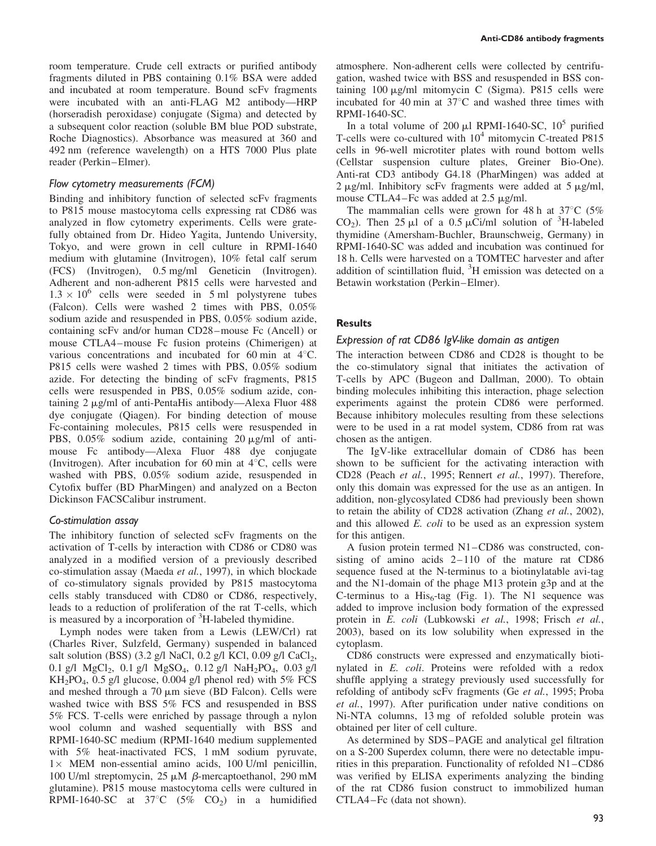room temperature. Crude cell extracts or purified antibody fragments diluted in PBS containing 0.1% BSA were added and incubated at room temperature. Bound scFv fragments were incubated with an anti-FLAG M2 antibody—HRP (horseradish peroxidase) conjugate (Sigma) and detected by a subsequent color reaction (soluble BM blue POD substrate, Roche Diagnostics). Absorbance was measured at 360 and 492 nm (reference wavelength) on a HTS 7000 Plus plate reader (Perkin–Elmer).

### Flow cytometry measurements (FCM)

Binding and inhibitory function of selected scFv fragments to P815 mouse mastocytoma cells expressing rat CD86 was analyzed in flow cytometry experiments. Cells were gratefully obtained from Dr. Hideo Yagita, Juntendo University, Tokyo, and were grown in cell culture in RPMI-1640 medium with glutamine (Invitrogen), 10% fetal calf serum (FCS) (Invitrogen), 0.5 mg/ml Geneticin (Invitrogen). Adherent and non-adherent P815 cells were harvested and  $1.3 \times 10^6$  cells were seeded in 5 ml polystyrene tubes (Falcon). Cells were washed 2 times with PBS, 0.05% sodium azide and resuspended in PBS, 0.05% sodium azide, containing scFv and/or human CD28–mouse Fc (Ancell) or mouse CTLA4–mouse Fc fusion proteins (Chimerigen) at various concentrations and incubated for 60 min at  $4^{\circ}$ C. P815 cells were washed 2 times with PBS, 0.05% sodium azide. For detecting the binding of scFv fragments, P815 cells were resuspended in PBS, 0.05% sodium azide, containing  $2 \mu g/ml$  of anti-PentaHis antibody—Alexa Fluor 488 dye conjugate (Qiagen). For binding detection of mouse Fc-containing molecules, P815 cells were resuspended in PBS,  $0.05\%$  sodium azide, containing 20 µg/ml of antimouse Fc antibody—Alexa Fluor 488 dye conjugate (Invitrogen). After incubation for 60 min at  $4^{\circ}$ C, cells were washed with PBS, 0.05% sodium azide, resuspended in Cytofix buffer (BD PharMingen) and analyzed on a Becton Dickinson FACSCalibur instrument.

#### Co-stimulation assay

The inhibitory function of selected scFv fragments on the activation of T-cells by interaction with CD86 or CD80 was analyzed in a modified version of a previously described co-stimulation assay (Maeda et al., 1997), in which blockade of co-stimulatory signals provided by P815 mastocytoma cells stably transduced with CD80 or CD86, respectively, leads to a reduction of proliferation of the rat T-cells, which is measured by a incorporation of  ${}^{3}$ H-labeled thymidine.

Lymph nodes were taken from a Lewis (LEW/Crl) rat (Charles River, Sulzfeld, Germany) suspended in balanced salt solution (BSS) (3.2 g/l NaCl, 0.2 g/l KCl, 0.09 g/l CaCl<sub>2</sub>, 0.1 g/l  $MgCl_2$ , 0.1 g/l  $MgSO_4$ , 0.12 g/l  $NaH_2PO_4$ , 0.03 g/l  $KH_2PO_4$ , 0.5 g/l glucose, 0.004 g/l phenol red) with 5% FCS and meshed through a  $70 \mu m$  sieve (BD Falcon). Cells were washed twice with BSS 5% FCS and resuspended in BSS 5% FCS. T-cells were enriched by passage through a nylon wool column and washed sequentially with BSS and RPMI-1640-SC medium (RPMI-1640 medium supplemented with 5% heat-inactivated FCS, 1 mM sodium pyruvate,  $1 \times$  MEM non-essential amino acids, 100 U/ml penicillin, 100 U/ml streptomycin,  $25 \mu M$   $\beta$ -mercaptoethanol, 290 mM glutamine). P815 mouse mastocytoma cells were cultured in RPMI-1640-SC at  $37^{\circ}$ C (5% CO<sub>2</sub>) in a humidified

atmosphere. Non-adherent cells were collected by centrifugation, washed twice with BSS and resuspended in BSS containing  $100 \mu g/ml$  mitomycin C (Sigma). P815 cells were incubated for 40 min at  $37^{\circ}$ C and washed three times with RPMI-1640-SC.

In a total volume of 200  $\mu$ l RPMI-1640-SC, 10<sup>5</sup> purified T-cells were co-cultured with  $10<sup>4</sup>$  mitomycin C-treated P815 cells in 96-well microtiter plates with round bottom wells (Cellstar suspension culture plates, Greiner Bio-One). Anti-rat CD3 antibody G4.18 (PharMingen) was added at  $2 \mu g/ml$ . Inhibitory scFv fragments were added at  $5 \mu g/ml$ , mouse CTLA4–Fc was added at  $2.5 \mu g/ml$ .

The mammalian cells were grown for 48 h at  $37^{\circ}$ C (5%) CO<sub>2</sub>). Then 25  $\mu$ l of a 0.5  $\mu$ Ci/ml solution of <sup>3</sup>H-labeled thymidine (Amersham-Buchler, Braunschweig, Germany) in RPMI-1640-SC was added and incubation was continued for 18 h. Cells were harvested on a TOMTEC harvester and after addition of scintillation fluid,  ${}^{3}$ H emission was detected on a Betawin workstation (Perkin–Elmer).

### **Results**

#### Expression of rat CD86 IgV-like domain as antigen

The interaction between CD86 and CD28 is thought to be the co-stimulatory signal that initiates the activation of T-cells by APC (Bugeon and Dallman, 2000). To obtain binding molecules inhibiting this interaction, phage selection experiments against the protein CD86 were performed. Because inhibitory molecules resulting from these selections were to be used in a rat model system, CD86 from rat was chosen as the antigen.

The IgV-like extracellular domain of CD86 has been shown to be sufficient for the activating interaction with CD28 (Peach et al., 1995; Rennert et al., 1997). Therefore, only this domain was expressed for the use as an antigen. In addition, non-glycosylated CD86 had previously been shown to retain the ability of CD28 activation (Zhang et al., 2002), and this allowed E. coli to be used as an expression system for this antigen.

A fusion protein termed N1–CD86 was constructed, consisting of amino acids 2–110 of the mature rat CD86 sequence fused at the N-terminus to a biotinylatable avi-tag and the N1-domain of the phage M13 protein g3p and at the C-terminus to a  $His<sub>6</sub>$ -tag (Fig. 1). The N1 sequence was added to improve inclusion body formation of the expressed protein in E. coli (Lubkowski et al., 1998; Frisch et al., 2003), based on its low solubility when expressed in the cytoplasm.

CD86 constructs were expressed and enzymatically biotinylated in E. coli. Proteins were refolded with a redox shuffle applying a strategy previously used successfully for refolding of antibody scFv fragments (Ge et al., 1995; Proba et al., 1997). After purification under native conditions on Ni-NTA columns, 13 mg of refolded soluble protein was obtained per liter of cell culture.

As determined by SDS–PAGE and analytical gel filtration on a S-200 Superdex column, there were no detectable impurities in this preparation. Functionality of refolded N1–CD86 was verified by ELISA experiments analyzing the binding of the rat CD86 fusion construct to immobilized human CTLA4–Fc (data not shown).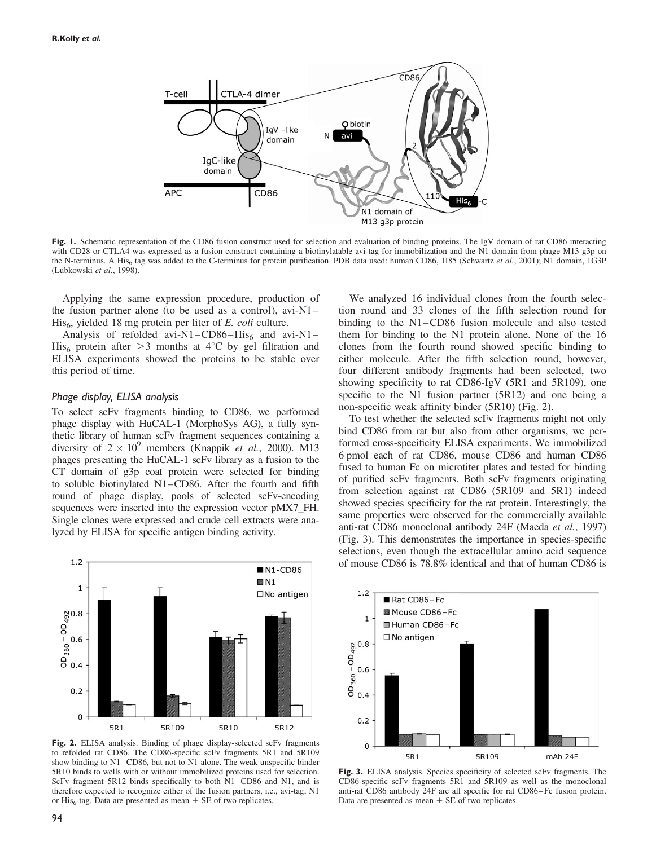

Fig. 1. Schematic representation of the CD86 fusion construct used for selection and evaluation of binding proteins. The IgV domain of rat CD86 interacting with CD28 or CTLA4 was expressed as a fusion construct containing a biotinylatable avi-tag for immobilization and the N1 domain from phage M13 g3p on the N-terminus. A His<sub>6</sub> tag was added to the C-terminus for protein purification. PDB data used: human CD86, 1185 (Schwartz et al., 2001); N1 domain, 1G3P (Lubkowski et al., 1998).

Applying the same expression procedure, production of the fusion partner alone (to be used as a control), avi-N1–  $His<sub>6</sub>$ , yielded 18 mg protein per liter of E. *coli* culture.

Analysis of refolded avi-N1–CD86–His<sub>6</sub> and avi-N1– His<sub>6</sub> protein after  $>3$  months at 4<sup>°</sup>C by gel filtration and ELISA experiments showed the proteins to be stable over this period of time.

#### Phage display, ELISA analysis

To select scFv fragments binding to CD86, we performed phage display with HuCAL-1 (MorphoSys AG), a fully synthetic library of human scFv fragment sequences containing a diversity of  $2 \times 10^9$  members (Knappik *et al.*, 2000). M13 phages presenting the HuCAL-1 scFv library as a fusion to the CT domain of g3p coat protein were selected for binding to soluble biotinylated N1–CD86. After the fourth and fifth round of phage display, pools of selected scFv-encoding sequences were inserted into the expression vector pMX7\_FH. Single clones were expressed and crude cell extracts were analyzed by ELISA for specific antigen binding activity.



Fig. 2. ELISA analysis. Binding of phage display-selected scFv fragments to refolded rat CD86. The CD86-specific scFv fragments 5R1 and 5R109 show binding to N1–CD86, but not to N1 alone. The weak unspecific binder 5R10 binds to wells with or without immobilized proteins used for selection. ScFv fragment 5R12 binds specifically to both N1–CD86 and N1, and is therefore expected to recognize either of the fusion partners, i.e., avi-tag, N1 or His<sub>6</sub>-tag. Data are presented as mean  $\pm$  SE of two replicates.

We analyzed 16 individual clones from the fourth selection round and 33 clones of the fifth selection round for binding to the N1–CD86 fusion molecule and also tested them for binding to the N1 protein alone. None of the 16 clones from the fourth round showed specific binding to either molecule. After the fifth selection round, however, four different antibody fragments had been selected, two showing specificity to rat CD86-IgV (5R1 and 5R109), one specific to the N1 fusion partner (5R12) and one being a non-specific weak affinity binder (5R10) (Fig. 2).

To test whether the selected scFv fragments might not only bind CD86 from rat but also from other organisms, we performed cross-specificity ELISA experiments. We immobilized 6 pmol each of rat CD86, mouse CD86 and human CD86 fused to human Fc on microtiter plates and tested for binding of purified scFv fragments. Both scFv fragments originating from selection against rat CD86 (5R109 and 5R1) indeed showed species specificity for the rat protein. Interestingly, the same properties were observed for the commercially available anti-rat CD86 monoclonal antibody 24F (Maeda et al., 1997) (Fig. 3). This demonstrates the importance in species-specific selections, even though the extracellular amino acid sequence of mouse CD86 is 78.8% identical and that of human CD86 is



Fig. 3. ELISA analysis. Species specificity of selected scFv fragments. The CD86-specific scFv fragments 5R1 and 5R109 as well as the monoclonal anti-rat CD86 antibody 24F are all specific for rat CD86–Fc fusion protein. Data are presented as mean  $\pm$  SE of two replicates.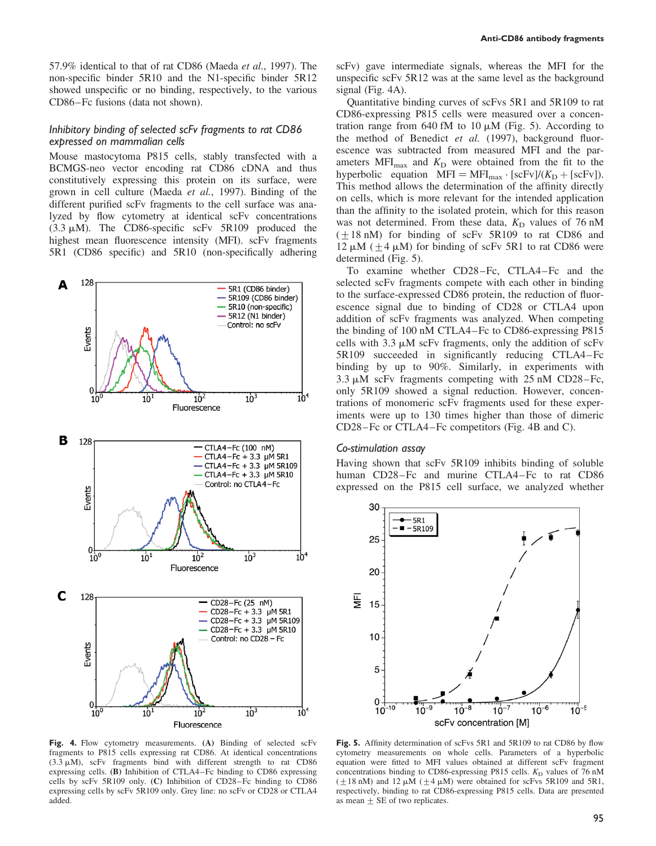57.9% identical to that of rat CD86 (Maeda et al., 1997). The non-specific binder 5R10 and the N1-specific binder 5R12 showed unspecific or no binding, respectively, to the various CD86–Fc fusions (data not shown).

## Inhibitory binding of selected scFv fragments to rat CD86 expressed on mammalian cells

Mouse mastocytoma P815 cells, stably transfected with a BCMGS-neo vector encoding rat CD86 cDNA and thus constitutively expressing this protein on its surface, were grown in cell culture (Maeda et al., 1997). Binding of the different purified scFv fragments to the cell surface was analyzed by flow cytometry at identical scFv concentrations  $(3.3 \mu M)$ . The CD86-specific scFv 5R109 produced the highest mean fluorescence intensity (MFI). scFv fragments 5R1 (CD86 specific) and 5R10 (non-specifically adhering



Fig. 4. Flow cytometry measurements. (A) Binding of selected scFv fragments to P815 cells expressing rat CD86. At identical concentrations  $(3.3 \mu M)$ , scFv fragments bind with different strength to rat CD86 expressing cells. (B) Inhibition of CTLA4–Fc binding to CD86 expressing cells by scFv 5R109 only. (C) Inhibition of CD28–Fc binding to CD86 expressing cells by scFv 5R109 only. Grey line: no scFv or CD28 or CTLA4 added.

scFv) gave intermediate signals, whereas the MFI for the unspecific scFv 5R12 was at the same level as the background signal (Fig. 4A).

Quantitative binding curves of scFvs 5R1 and 5R109 to rat CD86-expressing P815 cells were measured over a concentration range from 640 fM to 10  $\mu$ M (Fig. 5). According to the method of Benedict et al. (1997), background fluorescence was subtracted from measured MFI and the parameters  $MFI<sub>max</sub>$  and  $K<sub>D</sub>$  were obtained from the fit to the hyperbolic equation  $MFI = MFI_{max} \cdot [scFv]/(K_D + [scFv])$ . This method allows the determination of the affinity directly on cells, which is more relevant for the intended application than the affinity to the isolated protein, which for this reason was not determined. From these data,  $K_D$  values of 76 nM  $(\pm 18 \text{ nM})$  for binding of scFv 5R109 to rat CD86 and 12  $\mu$ M ( $\pm$ 4  $\mu$ M) for binding of scFv 5R1 to rat CD86 were determined (Fig. 5).

To examine whether CD28–Fc, CTLA4–Fc and the selected scFv fragments compete with each other in binding to the surface-expressed CD86 protein, the reduction of fluorescence signal due to binding of CD28 or CTLA4 upon addition of scFv fragments was analyzed. When competing the binding of 100 nM CTLA4–Fc to CD86-expressing P815 cells with  $3.3 \mu M$  scFv fragments, only the addition of scFv 5R109 succeeded in significantly reducing CTLA4–Fc binding by up to 90%. Similarly, in experiments with 3.3  $\mu$ M scFv fragments competing with 25 nM CD28–Fc, only 5R109 showed a signal reduction. However, concentrations of monomeric scFv fragments used for these experiments were up to 130 times higher than those of dimeric CD28–Fc or CTLA4–Fc competitors (Fig. 4B and C).

#### Co-stimulation assay

Having shown that scFv 5R109 inhibits binding of soluble human CD28–Fc and murine CTLA4–Fc to rat CD86 expressed on the P815 cell surface, we analyzed whether



Fig. 5. Affinity determination of scFvs 5R1 and 5R109 to rat CD86 by flow cytometry measurements on whole cells. Parameters of a hyperbolic equation were fitted to MFI values obtained at different scFv fragment concentrations binding to CD86-expressing P815 cells.  $K<sub>D</sub>$  values of 76 nM  $(\pm 18 \text{ nM})$  and  $12 \mu \text{M} (\pm 4 \mu \text{M})$  were obtained for scFvs 5R109 and 5R1, respectively, binding to rat CD86-expressing P815 cells. Data are presented as mean  $\pm$  SE of two replicates.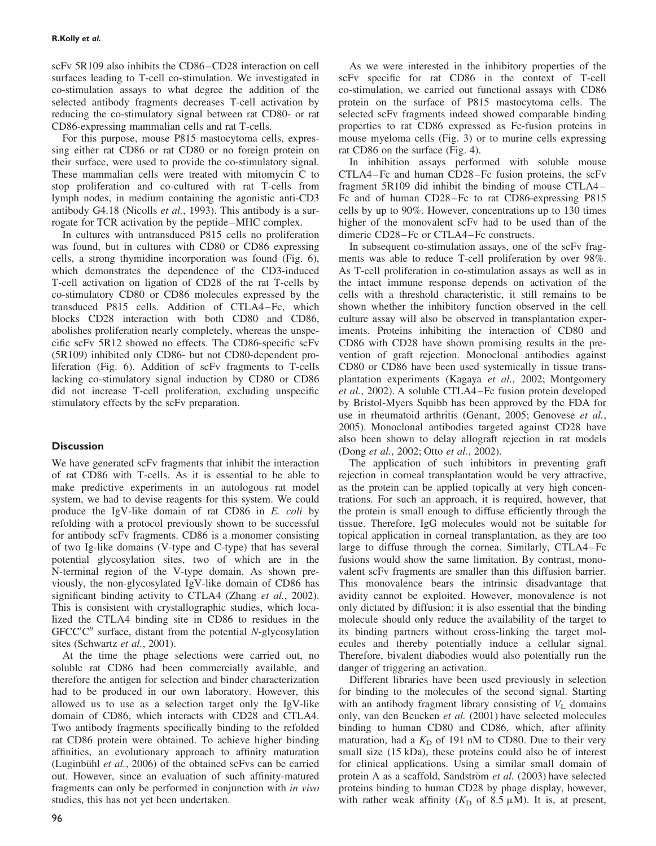scFv 5R109 also inhibits the CD86–CD28 interaction on cell surfaces leading to T-cell co-stimulation. We investigated in co-stimulation assays to what degree the addition of the selected antibody fragments decreases T-cell activation by reducing the co-stimulatory signal between rat CD80- or rat CD86-expressing mammalian cells and rat T-cells.

For this purpose, mouse P815 mastocytoma cells, expressing either rat CD86 or rat CD80 or no foreign protein on their surface, were used to provide the co-stimulatory signal. These mammalian cells were treated with mitomycin C to stop proliferation and co-cultured with rat T-cells from lymph nodes, in medium containing the agonistic anti-CD3 antibody G4.18 (Nicolls *et al.*, 1993). This antibody is a surrogate for TCR activation by the peptide–MHC complex.

In cultures with untransduced P815 cells no proliferation was found, but in cultures with CD80 or CD86 expressing cells, a strong thymidine incorporation was found (Fig. 6), which demonstrates the dependence of the CD3-induced T-cell activation on ligation of CD28 of the rat T-cells by co-stimulatory CD80 or CD86 molecules expressed by the transduced P815 cells. Addition of CTLA4–Fc, which blocks CD28 interaction with both CD80 and CD86, abolishes proliferation nearly completely, whereas the unspecific scFv 5R12 showed no effects. The CD86-specific scFv (5R109) inhibited only CD86- but not CD80-dependent proliferation (Fig. 6). Addition of scFv fragments to T-cells lacking co-stimulatory signal induction by CD80 or CD86 did not increase T-cell proliferation, excluding unspecific stimulatory effects by the scFv preparation.

## **Discussion**

We have generated scFv fragments that inhibit the interaction of rat CD86 with T-cells. As it is essential to be able to make predictive experiments in an autologous rat model system, we had to devise reagents for this system. We could produce the IgV-like domain of rat CD86 in E. coli by refolding with a protocol previously shown to be successful for antibody scFv fragments. CD86 is a monomer consisting of two Ig-like domains (V-type and C-type) that has several potential glycosylation sites, two of which are in the N-terminal region of the V-type domain. As shown previously, the non-glycosylated IgV-like domain of CD86 has significant binding activity to CTLA4 (Zhang et al., 2002). This is consistent with crystallographic studies, which localized the CTLA4 binding site in CD86 to residues in the GFCC'C" surface, distant from the potential N-glycosylation sites (Schwartz et al., 2001).

At the time the phage selections were carried out, no soluble rat CD86 had been commercially available, and therefore the antigen for selection and binder characterization had to be produced in our own laboratory. However, this allowed us to use as a selection target only the IgV-like domain of CD86, which interacts with CD28 and CTLA4. Two antibody fragments specifically binding to the refolded rat CD86 protein were obtained. To achieve higher binding affinities, an evolutionary approach to affinity maturation (Luginbühl et al., 2006) of the obtained scFvs can be carried out. However, since an evaluation of such affinity-matured fragments can only be performed in conjunction with in vivo studies, this has not yet been undertaken.

As we were interested in the inhibitory properties of the scFv specific for rat CD86 in the context of T-cell co-stimulation, we carried out functional assays with CD86 protein on the surface of P815 mastocytoma cells. The selected scFv fragments indeed showed comparable binding properties to rat CD86 expressed as Fc-fusion proteins in mouse myeloma cells (Fig. 3) or to murine cells expressing rat CD86 on the surface (Fig. 4).

In inhibition assays performed with soluble mouse CTLA4–Fc and human CD28–Fc fusion proteins, the scFv fragment 5R109 did inhibit the binding of mouse CTLA4– Fc and of human CD28–Fc to rat CD86-expressing P815 cells by up to 90%. However, concentrations up to 130 times higher of the monovalent scFv had to be used than of the dimeric CD28–Fc or CTLA4–Fc constructs.

In subsequent co-stimulation assays, one of the scFv fragments was able to reduce T-cell proliferation by over 98%. As T-cell proliferation in co-stimulation assays as well as in the intact immune response depends on activation of the cells with a threshold characteristic, it still remains to be shown whether the inhibitory function observed in the cell culture assay will also be observed in transplantation experiments. Proteins inhibiting the interaction of CD80 and CD86 with CD28 have shown promising results in the prevention of graft rejection. Monoclonal antibodies against CD80 or CD86 have been used systemically in tissue transplantation experiments (Kagaya et al., 2002; Montgomery et al., 2002). A soluble CTLA4–Fc fusion protein developed by Bristol-Myers Squibb has been approved by the FDA for use in rheumatoid arthritis (Genant, 2005; Genovese et al., 2005). Monoclonal antibodies targeted against CD28 have also been shown to delay allograft rejection in rat models (Dong et al., 2002; Otto et al., 2002).

The application of such inhibitors in preventing graft rejection in corneal transplantation would be very attractive, as the protein can be applied topically at very high concentrations. For such an approach, it is required, however, that the protein is small enough to diffuse efficiently through the tissue. Therefore, IgG molecules would not be suitable for topical application in corneal transplantation, as they are too large to diffuse through the cornea. Similarly, CTLA4–Fc fusions would show the same limitation. By contrast, monovalent scFv fragments are smaller than this diffusion barrier. This monovalence bears the intrinsic disadvantage that avidity cannot be exploited. However, monovalence is not only dictated by diffusion: it is also essential that the binding molecule should only reduce the availability of the target to its binding partners without cross-linking the target molecules and thereby potentially induce a cellular signal. Therefore, bivalent diabodies would also potentially run the danger of triggering an activation.

Different libraries have been used previously in selection for binding to the molecules of the second signal. Starting with an antibody fragment library consisting of  $V<sub>L</sub>$  domains only, van den Beucken et al. (2001) have selected molecules binding to human CD80 and CD86, which, after affinity maturation, had a  $K<sub>D</sub>$  of 191 nM to CD80. Due to their very small size (15 kDa), these proteins could also be of interest for clinical applications. Using a similar small domain of protein A as a scaffold, Sandström et al. (2003) have selected proteins binding to human CD28 by phage display, however, with rather weak affinity  $(K_D \text{ of } 8.5 \mu M)$ . It is, at present,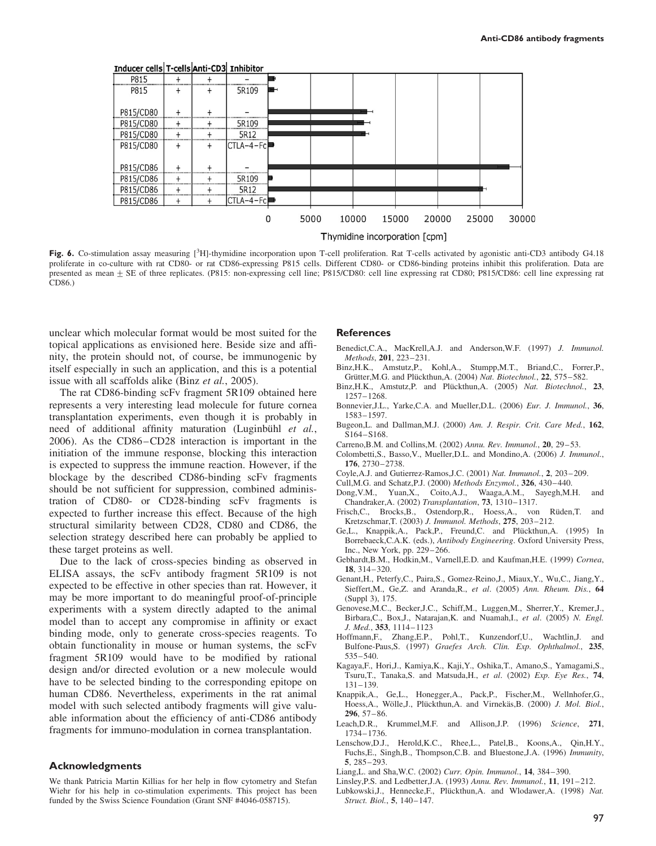

Fig. 6. Co-stimulation assay measuring [<sup>3</sup>H]-thymidine incorporation upon T-cell proliferation. Rat T-cells activated by agonistic anti-CD3 antibody G4.18 proliferate in co-culture with rat CD80- or rat CD86-expressing P815 cells. Different CD80- or CD86-binding proteins inhibit this proliferation. Data are presented as mean  $\pm$  SE of three replicates. (P815: non-expressing cell line; P815/CD80: cell line expressing rat CD80; P815/CD86: cell line expressing rat CD86.)

unclear which molecular format would be most suited for the topical applications as envisioned here. Beside size and affinity, the protein should not, of course, be immunogenic by itself especially in such an application, and this is a potential issue with all scaffolds alike (Binz et al., 2005).

The rat CD86-binding scFv fragment 5R109 obtained here represents a very interesting lead molecule for future cornea transplantation experiments, even though it is probably in need of additional affinity maturation (Luginbühl et al., 2006). As the CD86–CD28 interaction is important in the initiation of the immune response, blocking this interaction is expected to suppress the immune reaction. However, if the blockage by the described CD86-binding scFv fragments should be not sufficient for suppression, combined administration of CD80- or CD28-binding scFv fragments is expected to further increase this effect. Because of the high structural similarity between CD28, CD80 and CD86, the selection strategy described here can probably be applied to these target proteins as well.

Due to the lack of cross-species binding as observed in ELISA assays, the scFv antibody fragment 5R109 is not expected to be effective in other species than rat. However, it may be more important to do meaningful proof-of-principle experiments with a system directly adapted to the animal model than to accept any compromise in affinity or exact binding mode, only to generate cross-species reagents. To obtain functionality in mouse or human systems, the scFv fragment 5R109 would have to be modified by rational design and/or directed evolution or a new molecule would have to be selected binding to the corresponding epitope on human CD86. Nevertheless, experiments in the rat animal model with such selected antibody fragments will give valuable information about the efficiency of anti-CD86 antibody fragments for immuno-modulation in cornea transplantation.

#### Acknowledgments

We thank Patricia Martin Killias for her help in flow cytometry and Stefan Wiehr for his help in co-stimulation experiments. This project has been funded by the Swiss Science Foundation (Grant SNF #4046-058715).

#### **References**

- Benedict,C.A., MacKrell,A.J. and Anderson,W.F. (1997) J. Immunol. Methods, 201, 223–231.
- Binz,H.K., Amstutz,P., Kohl,A., Stumpp,M.T., Briand,C., Forrer,P., Grütter, M.G. and Plückthun, A. (2004) Nat. Biotechnol., 22, 575–582.
- Binz, H.K., Amstutz, P. and Plückthun, A. (2005) Nat. Biotechnol., 23, 1257–1268.
- Bonnevier,J.L., Yarke,C.A. and Mueller,D.L. (2006) Eur. J. Immunol., 36, 1583–1597.
- Bugeon,L. and Dallman,M.J. (2000) Am. J. Respir. Crit. Care Med., 162, S164–S168.
- Carreno,B.M. and Collins,M. (2002) Annu. Rev. Immunol., 20, 29–53.
- Colombetti,S., Basso,V., Mueller,D.L. and Mondino,A. (2006) J. Immunol., 176, 2730–2738.
- Coyle,A.J. and Gutierrez-Ramos,J.C. (2001) Nat. Immunol., 2, 203–209.
- Cull,M.G. and Schatz,P.J. (2000) Methods Enzymol., 326, 430–440.
- Dong,V.M., Yuan,X., Coito,A.J., Waaga,A.M., Sayegh,M.H. and Chandraker,A. (2002) Transplantation, 73, 1310–1317.
- Frisch,C., Brocks,B., Ostendorp,R., Hoess,A., von Rüden,T. and Kretzschmar,T. (2003) J. Immunol. Methods, 275, 203–212.
- Ge, L., Knappik, A., Pack, P., Freund, C. and Plückthun, A. (1995) In Borrebaeck,C.A.K. (eds.), Antibody Engineering. Oxford University Press, Inc., New York, pp. 229–266.
- Gebhardt,B.M., Hodkin,M., Varnell,E.D. and Kaufman,H.E. (1999) Cornea, 18, 314–320.
- Genant,H., Peterfy,C., Paira,S., Gomez-Reino,J., Miaux,Y., Wu,C., Jiang,Y., Sieffert,M., Ge,Z. and Aranda,R., et al. (2005) Ann. Rheum. Dis., 64 (Suppl 3), 175.
- Genovese,M.C., Becker,J.C., Schiff,M., Luggen,M., Sherrer,Y., Kremer,J., Birbara,C., Box,J., Natarajan,K. and Nuamah,I., et al. (2005) N. Engl. J. Med., 353, 1114–1123
- Hoffmann,F., Zhang,E.P., Pohl,T., Kunzendorf,U., Wachtlin,J. and Bulfone-Paus,S. (1997) Graefes Arch. Clin. Exp. Ophthalmol., 235, 535–540.
- Kagaya,F., Hori,J., Kamiya,K., Kaji,Y., Oshika,T., Amano,S., Yamagami,S., Tsuru,T., Tanaka,S. and Matsuda,H., et al. (2002) Exp. Eye Res., 74, 131–139.
- Knappik,A., Ge,L., Honegger,A., Pack,P., Fischer,M., Wellnhofer,G., Hoess,A., Wölle,J., Plückthun,A. and Virnekäs,B. (2000) J. Mol. Biol., 296, 57–86.
- Leach, D.R., Krummel, M.F. and Allison, J.P. (1996) Science, 271, 1734–1736.
- Lenschow,D.J., Herold,K.C., Rhee,L., Patel,B., Koons,A., Qin,H.Y., Fuchs,E., Singh,B., Thompson,C.B. and Bluestone,J.A. (1996) Immunity, 5, 285–293.
- Liang,L. and Sha,W.C. (2002) Curr. Opin. Immunol., 14, 384–390.

Lubkowski,J., Hennecke,F., Plückthun,A. and Wlodawer,A. (1998) Nat. Struct. Biol., 5, 140–147.

Linsley,P.S. and Ledbetter,J.A. (1993) Annu. Rev. Immunol., 11, 191–212.